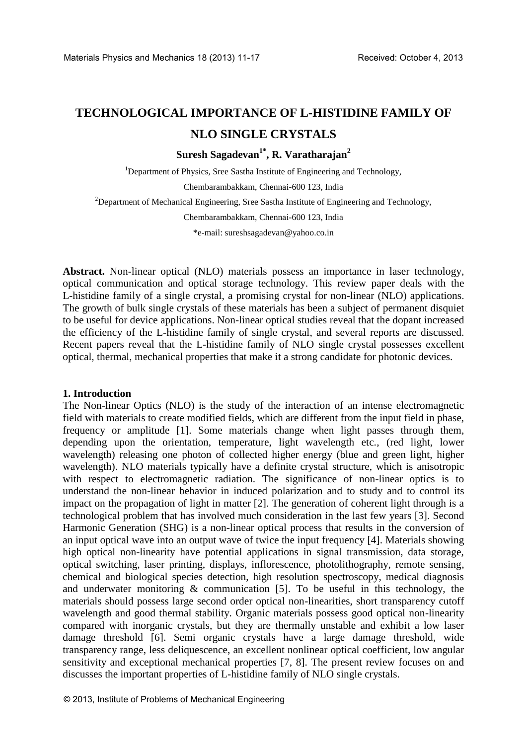# **TECHNOLOGICAL IMPORTANCE OF L-HISTIDINE FAMILY OF NLO SINGLE CRYSTALS**

**Suresh Sagadevan1\* , R. Varatharajan<sup>2</sup>**

<sup>1</sup>Department of Physics, Sree Sastha Institute of Engineering and Technology,

Chembarambakkam, Chennai-600 123, India

 $2D$ epartment of Mechanical Engineering, Sree Sastha Institute of Engineering and Technology,

Chembarambakkam, Chennai-600 123, India

\*e-mail: [sureshsagadevan@yahoo.co.in](mailto:sureshsagadevan@yahoo.co.in)

**Abstract.** Non-linear optical (NLO) materials possess an importance in laser technology, optical communication and optical storage technology. This review paper deals with the L-histidine family of a single crystal, a promising crystal for non-linear (NLO) applications. The growth of bulk single crystals of these materials has been a subject of permanent disquiet to be useful for device applications. Non-linear optical studies reveal that the dopant increased the efficiency of the L-histidine family of single crystal, and several reports are discussed. Recent papers reveal that the L-histidine family of NLO single crystal possesses excellent optical, thermal, mechanical properties that make it a strong candidate for photonic devices.

## **1. Introduction**

The Non-linear Optics (NLO) is the study of the interaction of an intense electromagnetic field with materials to create modified fields, which are different from the input field in phase, frequency or amplitude [1]. Some materials change when light passes through them, depending upon the orientation, temperature, light wavelength etc., (red light, lower wavelength) releasing one photon of collected higher energy (blue and green light, higher wavelength). NLO materials typically have a definite crystal structure, which is anisotropic with respect to electromagnetic radiation. The significance of non-linear optics is to understand the non-linear behavior in induced polarization and to study and to control its impact on the propagation of light in matter [2]. The generation of coherent light through is a technological problem that has involved much consideration in the last few years [3]. Second Harmonic Generation (SHG) is a non-linear optical process that results in the conversion of an input optical wave into an output wave of twice the input frequency [4]. Materials showing high optical non-linearity have potential applications in signal transmission, data storage, optical switching, laser printing, displays, inflorescence, photolithography, remote sensing, chemical and biological species detection, high resolution spectroscopy, medical diagnosis and underwater monitoring & communication [5]. To be useful in this technology, the materials should possess large second order optical non-linearities, short transparency cutoff wavelength and good thermal stability. Organic materials possess good optical non-linearity compared with inorganic crystals, but they are thermally unstable and exhibit a low laser damage threshold [6]. Semi organic crystals have a large damage threshold, wide transparency range, less deliquescence, an excellent nonlinear optical coefficient, low angular sensitivity and exceptional mechanical properties [7, 8]. The present review focuses on and discusses the important properties of L-histidine family of NLO single crystals.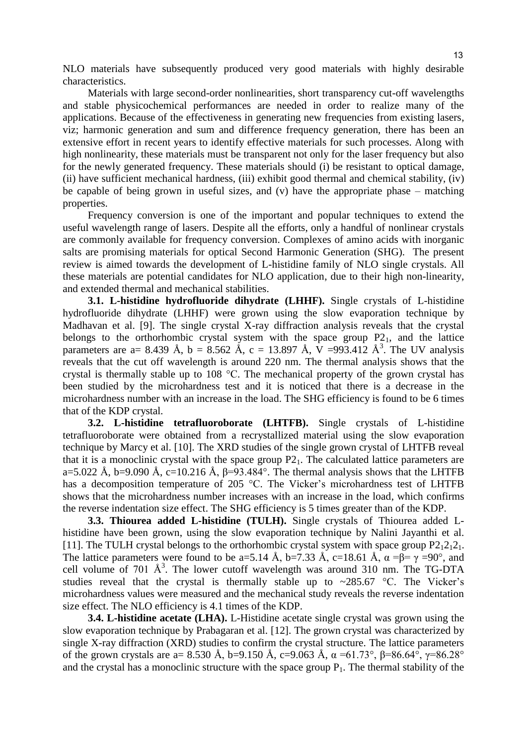NLO materials have subsequently produced very good materials with highly desirable characteristics.

Materials with large second-order nonlinearities, short transparency cut-off wavelengths and stable physicochemical performances are needed in order to realize many of the applications. Because of the effectiveness in generating new frequencies from existing lasers, viz; harmonic generation and sum and difference frequency generation, there has been an extensive effort in recent years to identify effective materials for such processes. Along with high nonlinearity, these materials must be transparent not only for the laser frequency but also for the newly generated frequency. These materials should (i) be resistant to optical damage, (ii) have sufficient mechanical hardness, (iii) exhibit good thermal and chemical stability, (iv) be capable of being grown in useful sizes, and (v) have the appropriate phase – matching properties.

Frequency conversion is one of the important and popular techniques to extend the useful wavelength range of lasers. Despite all the efforts, only a handful of nonlinear crystals are commonly available for frequency conversion. Complexes of amino acids with inorganic salts are promising materials for optical Second Harmonic Generation (SHG). The present review is aimed towards the development of L-histidine family of NLO single crystals. All these materials are potential candidates for NLO application, due to their high non-linearity, and extended thermal and mechanical stabilities.

**3.1. L-histidine hydrofluoride dihydrate (LHHF).** Single crystals of L-histidine hydrofluoride dihydrate (LHHF) were grown using the slow evaporation technique by Madhavan et al. [9]. The single crystal X-ray diffraction analysis reveals that the crystal belongs to the orthorhombic crystal system with the space group  $P_1$ , and the lattice parameters are a = 8.439 Å, b = 8.562 Å, c = 13.897 Å,  $\overline{V}$  =993.412 Å<sup>3</sup>. The UV analysis reveals that the cut off wavelength is around 220 nm. The thermal analysis shows that the crystal is thermally stable up to 108 °C. The mechanical property of the grown crystal has been studied by the microhardness test and it is noticed that there is a decrease in the microhardness number with an increase in the load. The SHG efficiency is found to be 6 times that of the KDP crystal.

**3.2. L-histidine tetrafluoroborate (LHTFB).** Single crystals of L-histidine tetrafluoroborate were obtained from a recrystallized material using the slow evaporation technique by Marcy et al. [10]. The XRD studies of the single grown crystal of LHTFB reveal that it is a monoclinic crystal with the space group  $P2<sub>1</sub>$ . The calculated lattice parameters are a=5.022 Å, b=9.090 Å, c=10.216 Å,  $\beta$ =93.484°. The thermal analysis shows that the LHTFB has a decomposition temperature of 205 °C. The Vicker's microhardness test of LHTFB shows that the microhardness number increases with an increase in the load, which confirms the reverse indentation size effect. The SHG efficiency is 5 times greater than of the KDP.

**3.3. Thiourea added L-histidine (TULH).** Single crystals of Thiourea added Lhistidine have been grown, using the slow evaporation technique by Nalini Jayanthi et al. [11]. The TULH crystal belongs to the orthorhombic crystal system with space group  $P2_12_12_1$ . The lattice parameters were found to be a=5.14 Å, b=7.33 Å, c=18.61 Å,  $\alpha = \beta = \gamma = 90^{\circ}$ , and cell volume of 701  $\AA^3$ . The lower cutoff wavelength was around 310 nm. The TG-DTA studies reveal that the crystal is thermally stable up to  $\sim$ 285.67 °C. The Vicker's microhardness values were measured and the mechanical study reveals the reverse indentation size effect. The NLO efficiency is 4.1 times of the KDP.

**3.4. L-histidine acetate (LHA).** L-Histidine acetate single crystal was grown using the slow evaporation technique by Prabagaran et al. [12]. The grown crystal was characterized by single X-ray diffraction (XRD) studies to confirm the crystal structure. The lattice parameters of the grown crystals are a= 8.530 Å, b=9.150 Å, c=9.063 Å,  $\alpha$  =61.73°,  $\beta$ =86.64°,  $\gamma$ =86.28° and the crystal has a monoclinic structure with the space group  $P_1$ . The thermal stability of the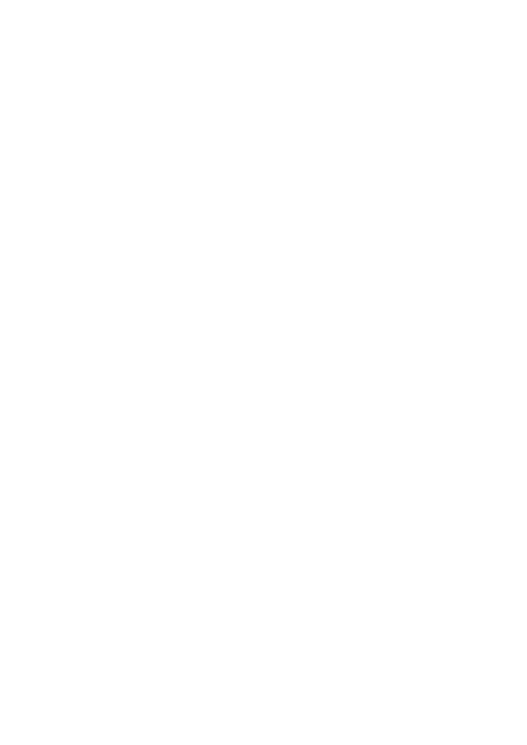## TECHNOLOGICAL IMPORTANCE OF L-HISTIDINE FAMILY OF NLO SINGLE CRYSTALS

Suresh Sagadevan<sup>1\*</sup>, R. Varatharajan<sup>2</sup>

<sup>1</sup>Department of Physics, Sree Sastha Institute of Engineering and Technology,

Chembarambakm, Chennai-600 123, India

 ${}^{2}$ Department of Mechanical Engineering, Sree Sastha Institute of Engineering and Technology,

Chembarambakm, Chennai-600 123, India

\*e-mail: sureshsagadevan@hoo.co.in

Abstract. Non-linear optical NLO) materials possessan importance in laser technology optical communication and optical storage technology. This is new paper deals with the L-histidine family of a single crystal, a promising crystal for non-linear (NLO) applications. The growth of bulkingle crystals of these materials has been a subject of permanent disquiet to be useful for device applications. Non-linear optical studies reveal that dopant increased the efficiency of the L-histidine family of single crystal several reports are discussed. Recent papers reveal that the L-histidine family of NLO single crystal possesses excllent optical, thermal, mechanical roperties that that it a strong candidate for photonic devices.

#### 1. Introduction

The Non-linear Optics (NLO) is the study fthe interaction of an intense electromagnetic field with materials to creatmodified fields, which are different from the input field in phase, frequency or amplitude [1] Some materials change when light passes through them, depending upon the orientation, temperature, light wavelength etc., (red light, lower wavelength) releasing one photon of collected higher energy (blue and green light, higher wavelength). NLO materials typically have a definite crystal structure, which is anisotropic with respect to electromagnetic radiation. The significance of non-linear optics is to understand the non-linear behavior in induced polarization and to study and to control its impact on the propagation of light in matter 2. The generation of coherent light through is a technological problem that has involved much consideration in the last few years Second Harmonic Generation (SHG) is a non-linear optical process that results in the conversion of an input optical wave into an output wave of twice the input frequency Materials showing high optical non-linearity have potential applications in signal transmission, data storage, optical switching, laser printing, displays, inflorescence, photolithography, remote sensing, chemical and biological species detection, high resolution spectroscopy, medical diagnosis and underwater monitoring & communication 51 To be useful in this technology, the materials should possess large second order optical non-linearities, short transparency cutoff wavelength and good thermal stability. Organic materials possess good optical non-linearity compared with inorganic crystal but they are thermally unstable and exibit a low laser damage threshold b Semi organic crystals have a large damage threshold, wide transparency range, less deliquescence, an exellent nonlinear optical coefficient, low angular sensitivity and exeptional mechanical properties [7,8] The present review focuses on and discusses the important properties of L-histidine family of NLO single crystals.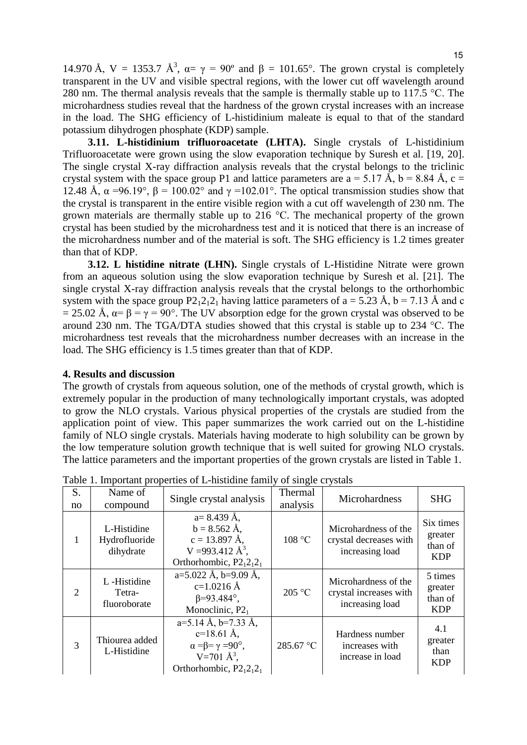14.970 Å, V = 1353.7 Å<sup>3</sup>,  $\alpha = \gamma = 90^{\circ}$  and  $\beta = 101.65^{\circ}$ . The grown crystal is completely transparent in the UV and visible spectral regions, with the lower cut off wavelength around 280 nm. The thermal analysis reveals that the sample is thermally stable up to 117.5 °C. The microhardness studies reveal that the hardness of the grown crystal increases with an increase in the load. The SHG efficiency of L-histidinium maleate is equal to that of the standard potassium dihydrogen phosphate (KDP) sample.

**3.11. L-histidinium trifluoroacetate (LHTA).** Single crystals of L-histidinium Trifluoroacetate were grown using the slow evaporation technique by Suresh et al. [19, 20]. The single crystal X-ray diffraction analysis reveals that the crystal belongs to the triclinic crystal system with the space group P1 and lattice parameters are  $a = 5.17 \text{ Å}$ ,  $b = 8.84 \text{ Å}$ ,  $c =$ 12.48 Å,  $\alpha$  =96.19°,  $\beta$  = 100.02° and  $\gamma$  =102.01°. The optical transmission studies show that the crystal is transparent in the entire visible region with a cut off wavelength of 230 nm. The grown materials are thermally stable up to 216 °C. The mechanical property of the grown crystal has been studied by the microhardness test and it is noticed that there is an increase of the microhardness number and of the material is soft. The SHG efficiency is 1.2 times greater than that of KDP.

**3.12. L histidine nitrate (LHN).** Single crystals of L-Histidine Nitrate were grown from an aqueous solution using the slow evaporation technique by Suresh et al. [21]. The single crystal X-ray diffraction analysis reveals that the crystal belongs to the orthorhombic system with the space group  $P2_12_12_1$  having lattice parameters of a = 5.23 Å, b = 7.13 Å and c = 25.02 Å,  $\alpha = \beta = \gamma = 90^{\circ}$ . The UV absorption edge for the grown crystal was observed to be around 230 nm. The TGA/DTA studies showed that this crystal is stable up to 234 °C. The microhardness test reveals that the microhardness number decreases with an increase in the load. The SHG efficiency is 1.5 times greater than that of KDP.

**4. Results and discussion** 

The growth of crystals from aqueous solution, one of the methods of crystal growth, which is extremely popular in the production of many technologically important crystals, was adopted to grow the NLO crystals. Various physical properties of the crystals are studied from the application point of view. This paper summarizes the work carried out on the L-histidine family of NLO single crystals. Materials having moderate to high solubility can be grown by the low temperature solution growth technique that is well suited for growing NLO crystals. The lattice parameters and the important properties of the grown crystals are listed in Table 1.

| S.             | Name of                                   | Single crystal analysis                                                                                                                                  | Thermal   | Microhardness                                                     | <b>SHG</b>                                    |
|----------------|-------------------------------------------|----------------------------------------------------------------------------------------------------------------------------------------------------------|-----------|-------------------------------------------------------------------|-----------------------------------------------|
| no             | compound                                  |                                                                                                                                                          | analysis  |                                                                   |                                               |
| 1              | L-Histidine<br>Hydrofluoride<br>dihydrate | $a=8.439 \text{ Å}$ ,<br>$b = 8.562$ Å,<br>$c = 13.897$ Å,<br>V = 993.412 $\AA^3$ ,<br>Orthorhombic, $P2_12_12_1$                                        | 108 °C    | Microhardness of the<br>crystal decreases with<br>increasing load | Six times<br>greater<br>than of<br><b>KDP</b> |
| $\overline{2}$ | L-Histidine<br>Tetra-<br>fluoroborate     | $a=5.022$ Å, $b=9.09$ Å,<br>$c=1.0216$ Å<br>$\beta = 93.484^{\circ}$ ,<br>Monoclinic, P <sub>21</sub>                                                    | 205 °C    | Microhardness of the<br>crystal increases with<br>increasing load | 5 times<br>greater<br>than of<br><b>KDP</b>   |
| 3              | Thiourea added<br>L-Histidine             | $a=5.14 \text{ Å}, b=7.33 \text{ Å},$<br>$c=18.61$ Å,<br>$\alpha = \beta = \gamma = 90^{\circ}$ ,<br>$V=701 \text{ Å}^3$ .<br>Orthorhombic, $P2_12_12_1$ | 285.67 °C | Hardness number<br>increases with<br>increase in load             | 4.1<br>greater<br>than<br><b>KDP</b>          |

Table 1. Important properties of L-histidine family of single crystals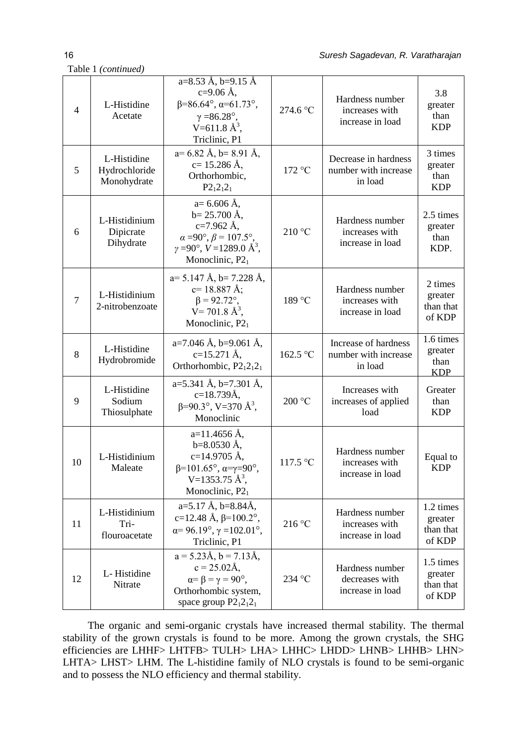Table 1 *(continued)*

| 4              | L-Histidine<br>Acetate                      | $a=8.53$ Å, $b=9.15$ Å<br>$c=9.06$ Å,<br>$\beta = 86.64^{\circ}, \alpha = 61.73^{\circ},$<br>$\gamma = 86.28^{\circ}$ ,<br>V=611.8 $\AA^3$ ,<br>Triclinic, P1                     | 274.6 °C | Hardness number<br>increases with<br>increase in load   | 3.8<br>greater<br>than<br><b>KDP</b>        |
|----------------|---------------------------------------------|-----------------------------------------------------------------------------------------------------------------------------------------------------------------------------------|----------|---------------------------------------------------------|---------------------------------------------|
| 5              | L-Histidine<br>Hydrochloride<br>Monohydrate | $a=6.82$ Å, $b=8.91$ Å,<br>$c = 15.286$ Å,<br>Orthorhombic,<br>$P2_12_12_1$                                                                                                       | 172 °C   | Decrease in hardness<br>number with increase<br>in load | 3 times<br>greater<br>than<br><b>KDP</b>    |
| 6              | L-Histidinium<br>Dipicrate<br>Dihydrate     | $a=6.606$ Å,<br>$b = 25.700$ Å,<br>$c=7.962$ Å,<br>$\alpha = 90^{\circ}, \beta = 107.5^{\circ},$<br>$\gamma = 90^{\circ}, V = 1289.0 \text{ Å}^3,$<br>Monoclinic, P <sub>21</sub> | 210 °C   | Hardness number<br>increases with<br>increase in load   | 2.5 times<br>greater<br>than<br>KDP.        |
| $\overline{7}$ | L-Histidinium<br>2-nitrobenzoate            | $a=$ 5.147 Å, $b=$ 7.228 Å,<br>$c=18.887 \text{ Å}$ ;<br>$\beta = 92.72^{\circ}$ ,<br>$V = 701.8 \text{ Å}^3$ ,<br>Monoclinic, $P21$                                              | 189 °C   | Hardness number<br>increases with<br>increase in load   | 2 times<br>greater<br>than that<br>of KDP   |
| 8              | L-Histidine<br>Hydrobromide                 | a=7.046 Å, b=9.061 Å,<br>$c=15.271 \text{ Å},$<br>Orthorhombic, $P2_12_12_1$                                                                                                      | 162.5 °C | Increase of hardness<br>number with increase<br>in load | 1.6 times<br>greater<br>than<br><b>KDP</b>  |
| 9              | L-Histidine<br>Sodium<br>Thiosulphate       | a=5.341 Å, b=7.301 Å,<br>$c=18.739\text{\AA}$ ,<br>$\beta = 90.3^{\circ}$ , V=370 Å <sup>3</sup> ,<br>Monoclinic                                                                  | 200 °C   | Increases with<br>increases of applied<br>load          | Greater<br>than<br><b>KDP</b>               |
| 10             | L-Histidinium<br>Maleate                    | $a=11.4656$ Å,<br>$b=8.0530$ Å,<br>$c=14.9705$ Å,<br>$β=101.65°$ , α=γ=90°<br>V=1353.75 $\AA^3$ ,<br>Monoclinic, $P21$                                                            | 117.5 °C | Hardness number<br>increases with<br>increase in load   | Equal to<br><b>KDP</b>                      |
| 11             | L-Histidinium<br>Tri-<br>flouroacetate      | $a=5.17 \text{ Å}, b=8.84 \text{Å},$<br>c=12.48 Å, $\beta$ =100.2°,<br>$\alpha = 96.19^{\circ}, \gamma = 102.01^{\circ},$<br>Triclinic, P1                                        | 216 °C   | Hardness number<br>increases with<br>increase in load   | 1.2 times<br>greater<br>than that<br>of KDP |
| 12             | L-Histidine<br>Nitrate                      | $a = 5.23$ Å, $b = 7.13$ Å,<br>$c = 25.02$ Å,<br>$\alpha = \beta = \gamma = 90^{\circ}$ ,<br>Orthorhombic system,<br>space group $P2_12_12_1$                                     | 234 °C   | Hardness number<br>decreases with<br>increase in load   | 1.5 times<br>greater<br>than that<br>of KDP |

The organic and semi-organic crystals have increased thermal stability. The thermal stability of the grown crystals is found to be more. Among the grown crystals, the SHG efficiencies are LHHF> LHTFB> TULH> LHA> LHHC> LHDD> LHNB> LHHB> LHN> LHTA> LHST> LHM. The L-histidine family of NLO crystals is found to be semi-organic and to possess the NLO efficiency and thermal stability.